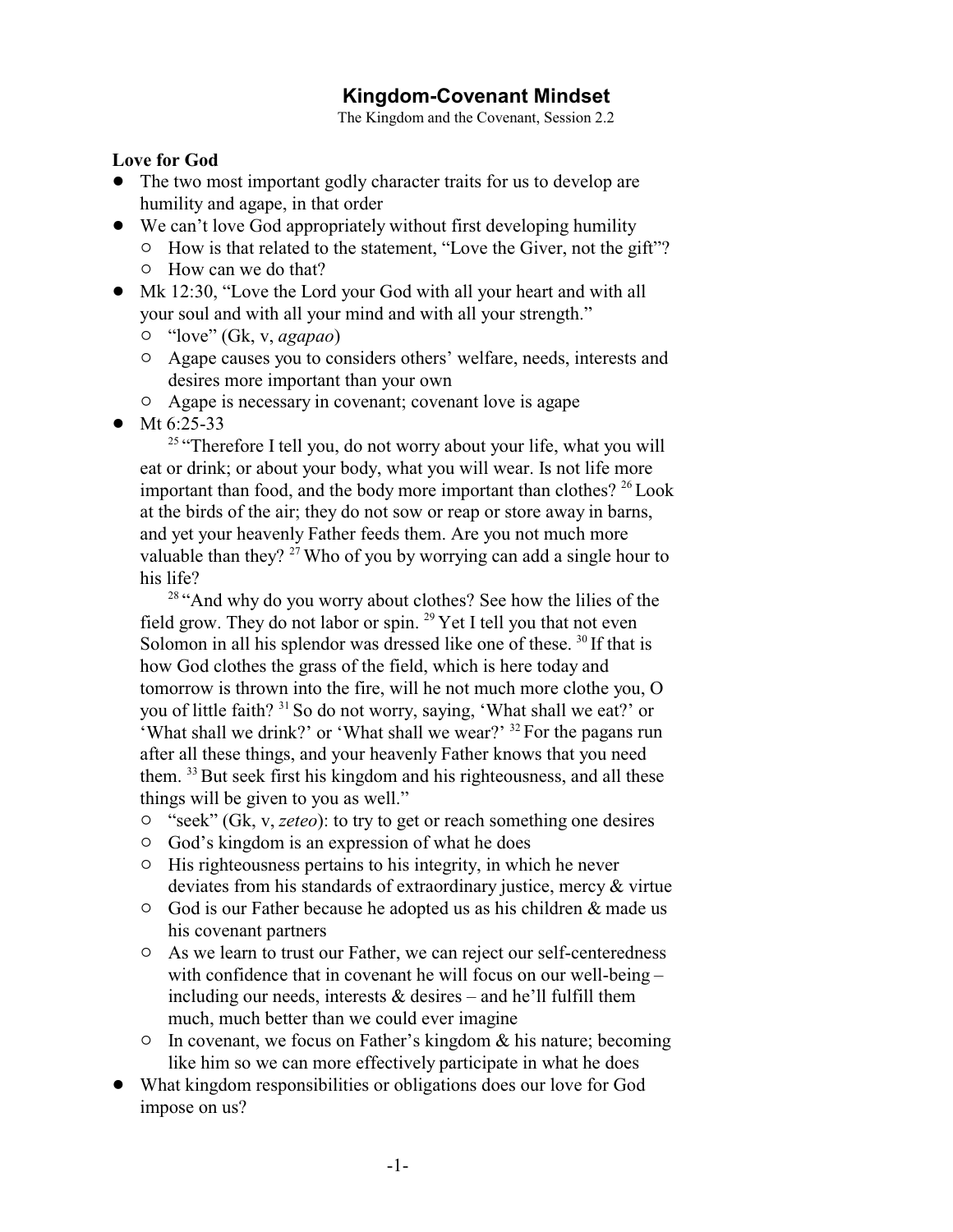## **Kingdom-Covenant Mindset**

The Kingdom and the Covenant, Session 2.2

## **Love for God**

- The two most important godly character traits for us to develop are humility and agape, in that order
- We can't love God appropriately without first developing humility
	- $\circ$  How is that related to the statement, "Love the Giver, not the gift"?
	- $\circ$  How can we do that?
- Mk 12:30, "Love the Lord your God with all your heart and with all your soul and with all your mind and with all your strength."
	- " "love" (Gk, v, *agapao*)
	- $\circ$  Agape causes you to considers others' welfare, needs, interests and desires more important than your own
	- $\circ$  Agape is necessary in covenant; covenant love is agape
- Mt  $6:25-33$

<sup>25</sup> "Therefore I tell you, do not worry about your life, what you will eat or drink; or about your body, what you will wear. Is not life more important than food, and the body more important than clothes?  $^{26}$  Look at the birds of the air; they do not sow or reap or store away in barns, and yet your heavenly Father feeds them. Are you not much more valuable than they?<sup>27</sup> Who of you by worrying can add a single hour to his life?

<sup>28</sup> "And why do you worry about clothes? See how the lilies of the field grow. They do not labor or spin.  $^{29}$  Yet I tell you that not even Solomon in all his splendor was dressed like one of these. <sup>30</sup> If that is how God clothes the grass of the field, which is here today and tomorrow is thrown into the fire, will he not much more clothe you, O you of little faith? <sup>31</sup> So do not worry, saying, 'What shall we eat?' or 'What shall we drink?' or 'What shall we wear?' <sup>32</sup> For the pagans run after all these things, and your heavenly Father knows that you need them. <sup>33</sup> But seek first his kingdom and his righteousness, and all these things will be given to you as well."

- <sup>o</sup> "seek" (Gk, v, *zeteo*): to try to get or reach something one desires
- $\circ$  God's kingdom is an expression of what he does
- $\circ$  His righteousness pertains to his integrity, in which he never deviates from his standards of extraordinary justice, mercy & virtue
- $\circ$  God is our Father because he adopted us as his children & made us his covenant partners
- <sup> $\circ$ </sup> As we learn to trust our Father, we can reject our self-centeredness with confidence that in covenant he will focus on our well-being – including our needs, interests  $&$  desires – and he'll fulfill them much, much better than we could ever imagine
- $\circ$  In covenant, we focus on Father's kingdom & his nature; becoming like him so we can more effectively participate in what he does
- ! What kingdom responsibilities or obligations does our love for God impose on us?